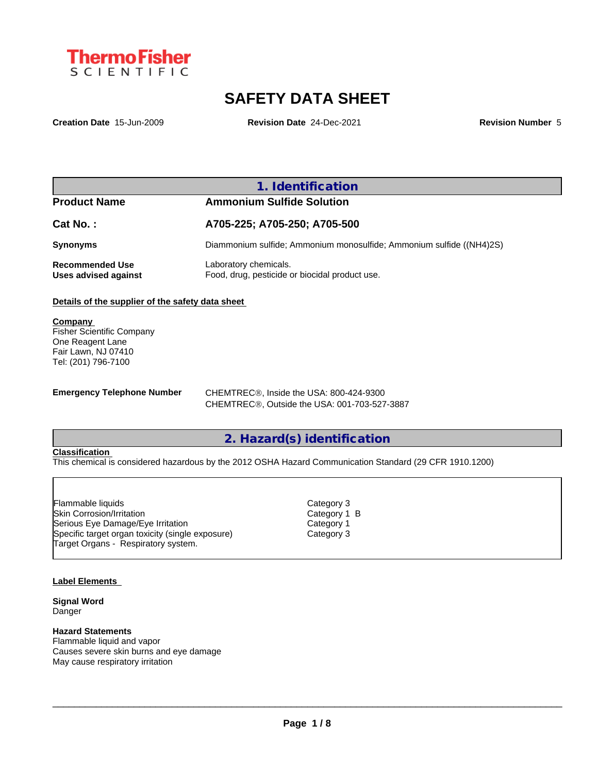

# **SAFETY DATA SHEET**

**Creation Date** 15-Jun-2009 **Revision Date** 24-Dec-2021 **Revision Number** 5

# **1. Identification**

|  |  | <b>Pro</b> quct Name |  |  |  |  |
|--|--|----------------------|--|--|--|--|
|  |  |                      |  |  |  |  |

# **Product Name Ammonium Sulfide Solution**

| Cat No. :                               | A705-225; A705-250; A705-500                                            |
|-----------------------------------------|-------------------------------------------------------------------------|
| Synonyms                                | Diammonium sulfide; Ammonium monosulfide; Ammonium sulfide ((NH4)2S)    |
| Recommended Use<br>Uses advised against | Laboratory chemicals.<br>Food, drug, pesticide or biocidal product use. |

#### **Details of the supplier of the safety data sheet**

**Company**  Fisher Scientific Company One Reagent Lane Fair Lawn, NJ 07410 Tel: (201) 796-7100

**Emergency Telephone Number** CHEMTREC<sup>®</sup>, Inside the USA: 800-424-9300 CHEMTREC®, Outside the USA: 001-703-527-3887

# **2. Hazard(s) identification**

### **Classification**

This chemical is considered hazardous by the 2012 OSHA Hazard Communication Standard (29 CFR 1910.1200)

Skin Corrosion/Irritation Category 1 B Serious Eye Damage/Eye Irritation Category 1 Specific target organ toxicity (single exposure) Category 3 Flammable liquids<br>Skin Corrosion/Irritation<br>Serious Eye Damage/Eye Irritation<br>Specific target organ toxicity (single exposure)<br>Target Organs - Respiratory system.

#### **Label Elements**

**Signal Word** Danger

#### **Hazard Statements**

Flammable liquid and vapor Causes severe skin burns and eye damage May cause respiratory irritation

Category 3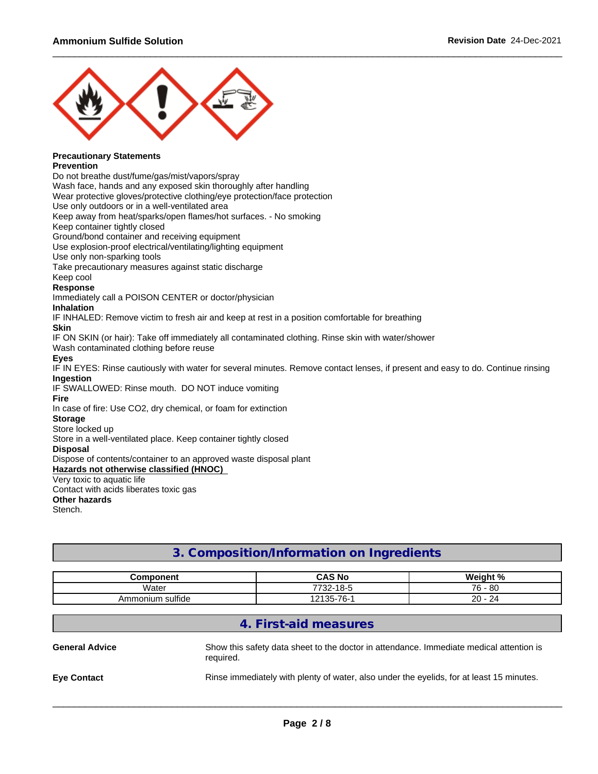

#### **Precautionary Statements Prevention**

Do not breathe dust/fume/gas/mist/vapors/spray

Wash face, hands and any exposed skin thoroughly after handling

Wear protective gloves/protective clothing/eye protection/face protection

Use only outdoors or in a well-ventilated area

Keep away from heat/sparks/open flames/hot surfaces. - No smoking

Keep container tightly closed

Ground/bond container and receiving equipment

Use explosion-proof electrical/ventilating/lighting equipment

Use only non-sparking tools

Take precautionary measures against static discharge

## Keep cool

**Response**

Immediately call a POISON CENTER or doctor/physician

#### **Inhalation**

IF INHALED: Remove victim to fresh air and keep at rest in a position comfortable for breathing

#### **Skin**

IF ON SKIN (or hair): Take off immediately all contaminated clothing. Rinse skin with water/shower

Wash contaminated clothing before reuse

#### **Eyes**

IF IN EYES: Rinse cautiously with water for several minutes. Remove contact lenses, if present and easy to do. Continue rinsing **Ingestion**

### IF SWALLOWED: Rinse mouth. DO NOT induce vomiting

**Fire**

In case of fire: Use CO2, dry chemical, or foam for extinction

#### **Storage**

#### Store locked up

Store in a well-ventilated place. Keep container tightly closed

**Disposal**

Dispose of contents/container to an approved waste disposal plant

#### **Hazards not otherwise classified (HNOC)**

Very toxic to aquatic life

Contact with acids liberates toxic gas **Other hazards**

Stench.

# **3. Composition/Information on Ingredients**

| ∶omponent                  | <b>CAS No</b>                   | $M$ oinht $0/$                                   |
|----------------------------|---------------------------------|--------------------------------------------------|
| Water                      | 770c<br>$18 - 5$<br>- 22-       | - 80<br><b>76.</b><br>v                          |
| ı sulfide<br>ionium<br>Amn | 7C<br>$\sim$ $\sim$ $\sim$<br>ື | $\sim$<br>$\sim$<br>$\mathcal{L}^{\omega}$<br>∠∪ |

# **4. First-aid measures**

| <b>General Advice</b> | Show this safety data sheet to the doctor in attendance. Immediate medical attention is<br>required. |
|-----------------------|------------------------------------------------------------------------------------------------------|
| <b>Eve Contact</b>    | Rinse immediately with plenty of water, also under the eyelids, for at least 15 minutes.             |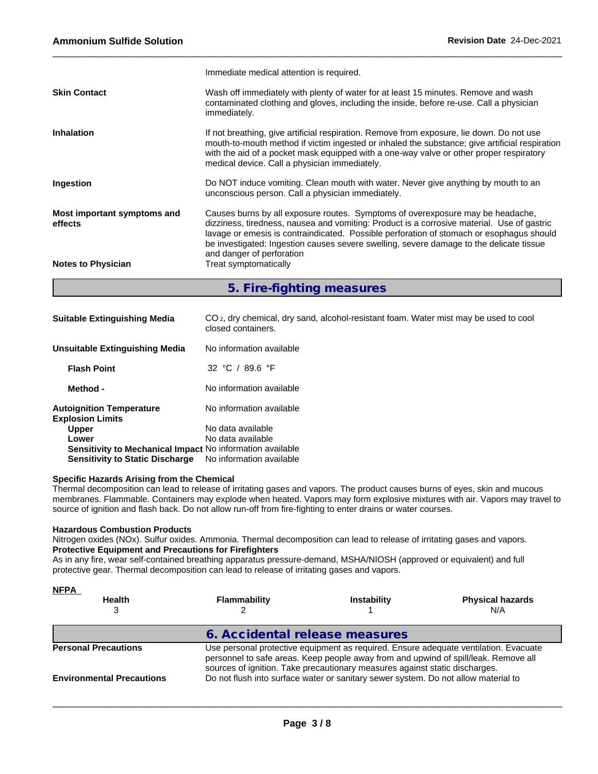|                                        | Immediate medical attention is required.                                                                                                                                                                                                                                                                                                                                                         |
|----------------------------------------|--------------------------------------------------------------------------------------------------------------------------------------------------------------------------------------------------------------------------------------------------------------------------------------------------------------------------------------------------------------------------------------------------|
| <b>Skin Contact</b>                    | Wash off immediately with plenty of water for at least 15 minutes. Remove and wash<br>contaminated clothing and gloves, including the inside, before re-use. Call a physician<br>immediately.                                                                                                                                                                                                    |
| <b>Inhalation</b>                      | If not breathing, give artificial respiration. Remove from exposure, lie down. Do not use<br>mouth-to-mouth method if victim ingested or inhaled the substance; give artificial respiration<br>with the aid of a pocket mask equipped with a one-way valve or other proper respiratory<br>medical device. Call a physician immediately.                                                          |
| Ingestion                              | Do NOT induce vomiting. Clean mouth with water. Never give anything by mouth to an<br>unconscious person. Call a physician immediately.                                                                                                                                                                                                                                                          |
| Most important symptoms and<br>effects | Causes burns by all exposure routes. Symptoms of overexposure may be headache,<br>dizziness, tiredness, nausea and vomiting: Product is a corrosive material. Use of gastric<br>lavage or emesis is contraindicated. Possible perforation of stomach or esophagus should<br>be investigated: Ingestion causes severe swelling, severe damage to the delicate tissue<br>and danger of perforation |
| <b>Notes to Physician</b>              | Treat symptomatically                                                                                                                                                                                                                                                                                                                                                                            |

**5. Fire-fighting measures**

| <b>Suitable Extinguishing Media</b>                              | CO <sub>2</sub> , dry chemical, dry sand, alcohol-resistant foam. Water mist may be used to cool<br>closed containers. |
|------------------------------------------------------------------|------------------------------------------------------------------------------------------------------------------------|
| <b>Unsuitable Extinguishing Media</b>                            | No information available                                                                                               |
| <b>Flash Point</b>                                               | 32 °C / 89.6 °F                                                                                                        |
| Method -                                                         | No information available                                                                                               |
| <b>Autoignition Temperature</b><br><b>Explosion Limits</b>       | No information available                                                                                               |
| <b>Upper</b>                                                     | No data available                                                                                                      |
| Lower                                                            | No data available                                                                                                      |
| <b>Sensitivity to Mechanical Impact No information available</b> |                                                                                                                        |
| <b>Sensitivity to Static Discharge</b>                           | No information available                                                                                               |

#### **Specific Hazards Arising from the Chemical**

Thermal decomposition can lead to release of irritating gases and vapors. The product causes burns of eyes, skin and mucous membranes. Flammable. Containers may explode when heated. Vapors may form explosive mixtures with air. Vapors may travel to source of ignition and flash back. Do not allow run-off from fire-fighting to enter drains or water courses.

#### **Hazardous Combustion Products**

Nitrogen oxides (NOx). Sulfur oxides. Ammonia. Thermal decomposition can lead to release of irritating gases and vapors. **Protective Equipment and Precautions for Firefighters**

As in any fire, wear self-contained breathing apparatus pressure-demand, MSHA/NIOSH (approved or equivalent) and full protective gear. Thermal decomposition can lead to release of irritating gases and vapors.

| <u>NFPA</u>                      |                                |                                                                                                                                                                                                                                                            |                                |  |  |  |  |
|----------------------------------|--------------------------------|------------------------------------------------------------------------------------------------------------------------------------------------------------------------------------------------------------------------------------------------------------|--------------------------------|--|--|--|--|
| <b>Health</b>                    | <b>Flammability</b>            | <b>Instability</b>                                                                                                                                                                                                                                         | <b>Physical hazards</b><br>N/A |  |  |  |  |
|                                  | 6. Accidental release measures |                                                                                                                                                                                                                                                            |                                |  |  |  |  |
| <b>Personal Precautions</b>      |                                | Use personal protective equipment as required. Ensure adequate ventilation. Evacuate<br>personnel to safe areas. Keep people away from and upwind of spill/leak. Remove all<br>sources of ignition. Take precautionary measures against static discharges. |                                |  |  |  |  |
| <b>Environmental Precautions</b> |                                | Do not flush into surface water or sanitary sewer system. Do not allow material to                                                                                                                                                                         |                                |  |  |  |  |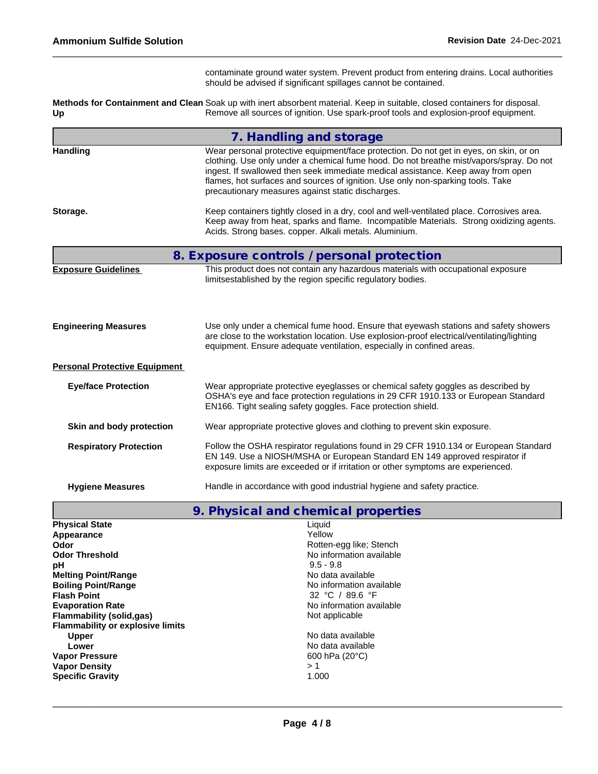|                                      | contaminate ground water system. Prevent product from entering drains. Local authorities<br>should be advised if significant spillages cannot be contained.                                                                                                                                                                                                                                                   |
|--------------------------------------|---------------------------------------------------------------------------------------------------------------------------------------------------------------------------------------------------------------------------------------------------------------------------------------------------------------------------------------------------------------------------------------------------------------|
| Up                                   | Methods for Containment and Clean Soak up with inert absorbent material. Keep in suitable, closed containers for disposal.<br>Remove all sources of ignition. Use spark-proof tools and explosion-proof equipment.                                                                                                                                                                                            |
|                                      | 7. Handling and storage                                                                                                                                                                                                                                                                                                                                                                                       |
| <b>Handling</b>                      | Wear personal protective equipment/face protection. Do not get in eyes, on skin, or on<br>clothing. Use only under a chemical fume hood. Do not breathe mist/vapors/spray. Do not<br>ingest. If swallowed then seek immediate medical assistance. Keep away from open<br>flames, hot surfaces and sources of ignition. Use only non-sparking tools. Take<br>precautionary measures against static discharges. |
| Storage.                             | Keep containers tightly closed in a dry, cool and well-ventilated place. Corrosives area.<br>Keep away from heat, sparks and flame. Incompatible Materials. Strong oxidizing agents.<br>Acids. Strong bases. copper. Alkali metals. Aluminium.                                                                                                                                                                |
|                                      | 8. Exposure controls / personal protection                                                                                                                                                                                                                                                                                                                                                                    |
| <b>Exposure Guidelines</b>           | This product does not contain any hazardous materials with occupational exposure<br>limitsestablished by the region specific regulatory bodies.                                                                                                                                                                                                                                                               |
| <b>Engineering Measures</b>          | Use only under a chemical fume hood. Ensure that eyewash stations and safety showers<br>are close to the workstation location. Use explosion-proof electrical/ventilating/lighting<br>equipment. Ensure adequate ventilation, especially in confined areas.                                                                                                                                                   |
| <b>Personal Protective Equipment</b> |                                                                                                                                                                                                                                                                                                                                                                                                               |
| <b>Eye/face Protection</b>           | Wear appropriate protective eyeglasses or chemical safety goggles as described by<br>OSHA's eye and face protection regulations in 29 CFR 1910.133 or European Standard<br>EN166. Tight sealing safety goggles. Face protection shield.                                                                                                                                                                       |
| Skin and body protection             | Wear appropriate protective gloves and clothing to prevent skin exposure.                                                                                                                                                                                                                                                                                                                                     |
| <b>Respiratory Protection</b>        | Follow the OSHA respirator regulations found in 29 CFR 1910.134 or European Standard<br>EN 149. Use a NIOSH/MSHA or European Standard EN 149 approved respirator if<br>exposure limits are exceeded or if irritation or other symptoms are experienced.                                                                                                                                                       |
| <b>Hygiene Measures</b>              | Handle in accordance with good industrial hygiene and safety practice.                                                                                                                                                                                                                                                                                                                                        |
|                                      | 9. Physical and chemical properties                                                                                                                                                                                                                                                                                                                                                                           |
| <b>Physical State</b><br>Appearance  | Liquid<br>Yellow                                                                                                                                                                                                                                                                                                                                                                                              |

| Appearance                              | Yellow                   |
|-----------------------------------------|--------------------------|
| Odor                                    | Rotten-egg like; Stench  |
| <b>Odor Threshold</b>                   | No information available |
| рH                                      | $9.5 - 9.8$              |
| <b>Melting Point/Range</b>              | No data available        |
| <b>Boiling Point/Range</b>              | No information available |
| <b>Flash Point</b>                      | 32 °C / 89.6 °F          |
| <b>Evaporation Rate</b>                 | No information available |
| Flammability (solid.gas)                | Not applicable           |
| <b>Flammability or explosive limits</b> |                          |
| <b>Upper</b>                            | No data available        |
| Lower                                   | No data available        |
| <b>Vapor Pressure</b>                   | 600 hPa $(20^{\circ}C)$  |
| <b>Vapor Density</b>                    | > 1                      |
| <b>Specific Gravity</b>                 | 1.000                    |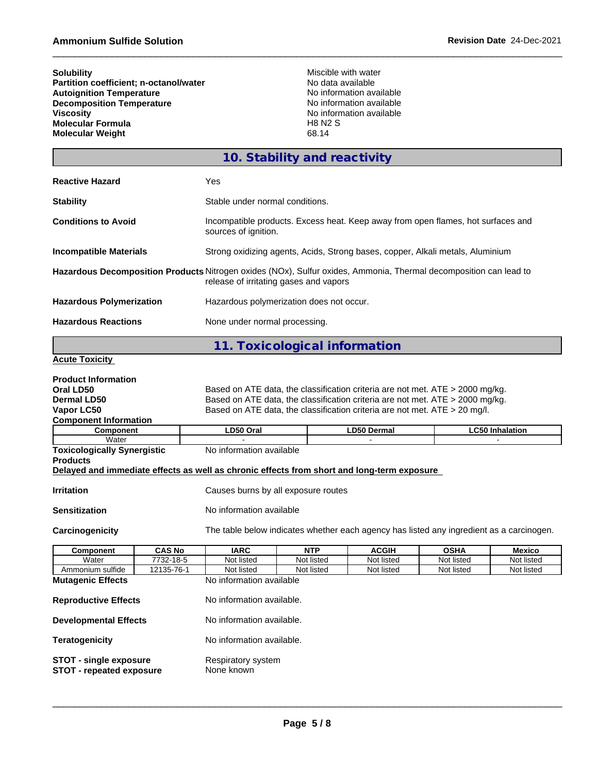| <b>Solubility</b><br>Partition coefficient; n-octanol/water<br><b>Autoignition Temperature</b><br><b>Decomposition Temperature</b><br><b>Viscosity</b><br><b>Molecular Formula</b><br><b>Molecular Weight</b> |               |                                                                                                                                                                                                                                                                                                                                         | Miscible with water<br>No data available<br><b>H8 N2 S</b><br>68.14 | No information available<br>No information available<br>No information available |             |            |
|---------------------------------------------------------------------------------------------------------------------------------------------------------------------------------------------------------------|---------------|-----------------------------------------------------------------------------------------------------------------------------------------------------------------------------------------------------------------------------------------------------------------------------------------------------------------------------------------|---------------------------------------------------------------------|----------------------------------------------------------------------------------|-------------|------------|
|                                                                                                                                                                                                               |               |                                                                                                                                                                                                                                                                                                                                         | 10. Stability and reactivity                                        |                                                                                  |             |            |
| <b>Reactive Hazard</b>                                                                                                                                                                                        |               | Yes                                                                                                                                                                                                                                                                                                                                     |                                                                     |                                                                                  |             |            |
| <b>Stability</b>                                                                                                                                                                                              |               | Stable under normal conditions.                                                                                                                                                                                                                                                                                                         |                                                                     |                                                                                  |             |            |
| <b>Conditions to Avoid</b>                                                                                                                                                                                    |               | Incompatible products. Excess heat. Keep away from open flames, hot surfaces and<br>sources of ignition.                                                                                                                                                                                                                                |                                                                     |                                                                                  |             |            |
| <b>Incompatible Materials</b>                                                                                                                                                                                 |               | Strong oxidizing agents, Acids, Strong bases, copper, Alkali metals, Aluminium                                                                                                                                                                                                                                                          |                                                                     |                                                                                  |             |            |
|                                                                                                                                                                                                               |               | Hazardous Decomposition Products Nitrogen oxides (NOx), Sulfur oxides, Ammonia, Thermal decomposition can lead to<br>release of irritating gases and vapors                                                                                                                                                                             |                                                                     |                                                                                  |             |            |
| <b>Hazardous Polymerization</b>                                                                                                                                                                               |               | Hazardous polymerization does not occur.                                                                                                                                                                                                                                                                                                |                                                                     |                                                                                  |             |            |
| <b>Hazardous Reactions</b>                                                                                                                                                                                    |               | None under normal processing.                                                                                                                                                                                                                                                                                                           |                                                                     |                                                                                  |             |            |
|                                                                                                                                                                                                               |               | 11. Toxicological information                                                                                                                                                                                                                                                                                                           |                                                                     |                                                                                  |             |            |
| <b>Acute Toxicity</b>                                                                                                                                                                                         |               |                                                                                                                                                                                                                                                                                                                                         |                                                                     |                                                                                  |             |            |
| <b>Product Information</b><br>Oral LD50<br><b>Dermal LD50</b><br>Vapor LC50<br><b>Component Information</b><br><b>Component</b><br>Water                                                                      |               | Based on ATE data, the classification criteria are not met. ATE > 2000 mg/kg.<br>Based on ATE data, the classification criteria are not met. ATE > 2000 mg/kg.<br>Based on ATE data, the classification criteria are not met. ATE $>$ 20 mg/l.<br>LD50 Oral<br><b>LD50 Dermal</b><br><b>LC50 Inhalation</b><br>No information available |                                                                     |                                                                                  |             |            |
| <b>Toxicologically Synergistic</b><br><b>Products</b>                                                                                                                                                         |               | Delayed and immediate effects as well as chronic effects from short and long-term exposure                                                                                                                                                                                                                                              |                                                                     |                                                                                  |             |            |
| <b>Irritation</b>                                                                                                                                                                                             |               | Causes burns by all exposure routes                                                                                                                                                                                                                                                                                                     |                                                                     |                                                                                  |             |            |
| <b>Sensitization</b>                                                                                                                                                                                          |               | No information available                                                                                                                                                                                                                                                                                                                |                                                                     |                                                                                  |             |            |
| Carcinogenicity                                                                                                                                                                                               |               | The table below indicates whether each agency has listed any ingredient as a carcinogen.                                                                                                                                                                                                                                                |                                                                     |                                                                                  |             |            |
| Component                                                                                                                                                                                                     | <b>CAS No</b> | <b>IARC</b>                                                                                                                                                                                                                                                                                                                             | <b>NTP</b>                                                          | <b>ACGIH</b>                                                                     | <b>OSHA</b> | Mexico     |
| Water                                                                                                                                                                                                         | 7732-18-5     | Not listed                                                                                                                                                                                                                                                                                                                              | Not listed                                                          | Not listed                                                                       | Not listed  | Not listed |
| Ammonium sulfide<br>12135-76-1                                                                                                                                                                                |               | Not listed<br>Not listed<br>Not listed<br>Not listed<br>Not listed                                                                                                                                                                                                                                                                      |                                                                     |                                                                                  |             |            |
| <b>Mutagenic Effects</b>                                                                                                                                                                                      |               | No information available                                                                                                                                                                                                                                                                                                                |                                                                     |                                                                                  |             |            |
| <b>Reproductive Effects</b>                                                                                                                                                                                   |               | No information available.                                                                                                                                                                                                                                                                                                               |                                                                     |                                                                                  |             |            |
| <b>Developmental Effects</b>                                                                                                                                                                                  |               | No information available.                                                                                                                                                                                                                                                                                                               |                                                                     |                                                                                  |             |            |
| <b>Teratogenicity</b>                                                                                                                                                                                         |               | No information available.                                                                                                                                                                                                                                                                                                               |                                                                     |                                                                                  |             |            |

**STOT** - single exposure **Respiratory system STOT - repeated exposure** None known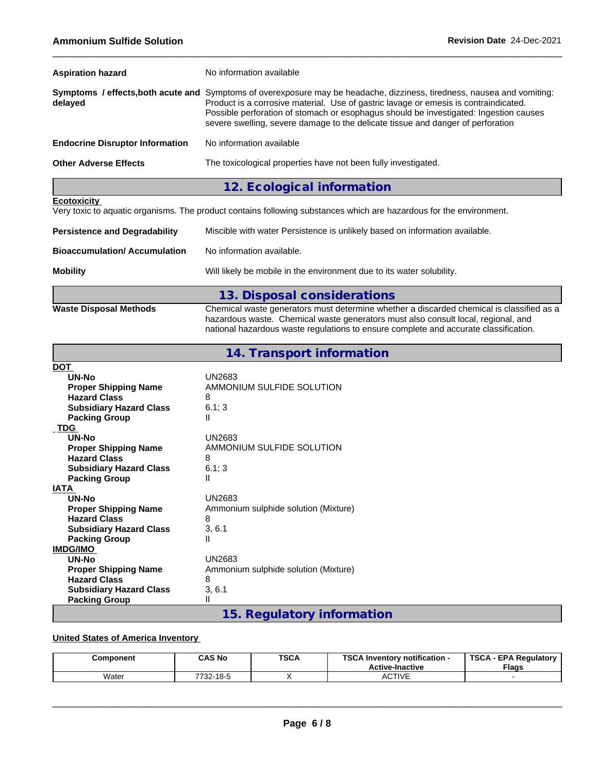| <b>Aspiration hazard</b>               | No information available                                                                                                                                                                                                                                                                                                                                                                    |
|----------------------------------------|---------------------------------------------------------------------------------------------------------------------------------------------------------------------------------------------------------------------------------------------------------------------------------------------------------------------------------------------------------------------------------------------|
| delayed                                | Symptoms / effects, both acute and Symptoms of overexposure may be headache, dizziness, tiredness, nausea and vomiting:<br>Product is a corrosive material. Use of gastric lavage or emesis is contraindicated.<br>Possible perforation of stomach or esophagus should be investigated: Ingestion causes<br>severe swelling, severe damage to the delicate tissue and danger of perforation |
| <b>Endocrine Disruptor Information</b> | No information available                                                                                                                                                                                                                                                                                                                                                                    |
| <b>Other Adverse Effects</b>           | The toxicological properties have not been fully investigated.                                                                                                                                                                                                                                                                                                                              |
|                                        | 12. Ecological information                                                                                                                                                                                                                                                                                                                                                                  |

### **Ecotoxicity**

Very toxic to aquatic organisms. The product contains following substances which are hazardous for the environment.

| <b>Persistence and Degradability</b> | Miscible with water Persistence is unlikely based on information available. |
|--------------------------------------|-----------------------------------------------------------------------------|
| <b>Bioaccumulation/Accumulation</b>  | No information available.                                                   |
| <b>Mobility</b>                      | Will likely be mobile in the environment due to its water solubility.       |
|                                      | 13. Disposal considerations                                                 |

**Waste Disposal Methods** Chemical waste generators must determine whether a discarded chemical is classified as a hazardous waste. Chemical waste generators must also consult local, regional, and national hazardous waste regulations to ensure complete and accurate classification.

| 14. Transport information |  |  |
|---------------------------|--|--|
|---------------------------|--|--|

| <b>DOT</b>                     |                                      |
|--------------------------------|--------------------------------------|
| UN-No                          | UN2683                               |
| <b>Proper Shipping Name</b>    | AMMONIUM SULFIDE SOLUTION            |
| <b>Hazard Class</b>            | 8                                    |
| <b>Subsidiary Hazard Class</b> | 6.1; 3                               |
| <b>Packing Group</b>           | Ш                                    |
| <b>TDG</b>                     |                                      |
| UN-No                          | UN2683                               |
| <b>Proper Shipping Name</b>    | AMMONIUM SULFIDE SOLUTION            |
| <b>Hazard Class</b>            | 8                                    |
| <b>Subsidiary Hazard Class</b> | 6.1; 3                               |
| <b>Packing Group</b>           | Ш                                    |
| <b>IATA</b>                    |                                      |
| UN-No                          | <b>UN2683</b>                        |
| <b>Proper Shipping Name</b>    | Ammonium sulphide solution (Mixture) |
| <b>Hazard Class</b>            | 8                                    |
| <b>Subsidiary Hazard Class</b> | 3, 6.1                               |
| <b>Packing Group</b>           | Ш                                    |
| <b>IMDG/IMO</b>                |                                      |
| UN-No                          | <b>UN2683</b>                        |
| <b>Proper Shipping Name</b>    | Ammonium sulphide solution (Mixture) |
| <b>Hazard Class</b>            | 8                                    |
| <b>Subsidiary Hazard Class</b> | 3, 6.1                               |
| <b>Packing Group</b>           | Ш                                    |
|                                | 15. Regulatory information           |
|                                |                                      |

### **United States of America Inventory**

| Component | <b>CAS No</b>   | <b>TSCA</b> | TCCA 1.<br><b>A</b> Inventory notification -<br>эьд<br><b>Active-Inactive</b> | <b>TSCA</b><br><b>EPA Requiatory</b><br><b>Flags</b> |
|-----------|-----------------|-------------|-------------------------------------------------------------------------------|------------------------------------------------------|
| Water     | 732-18-5<br>っへへ |             | $\sim$ $\pm$<br>TIVE<br>AC.                                                   |                                                      |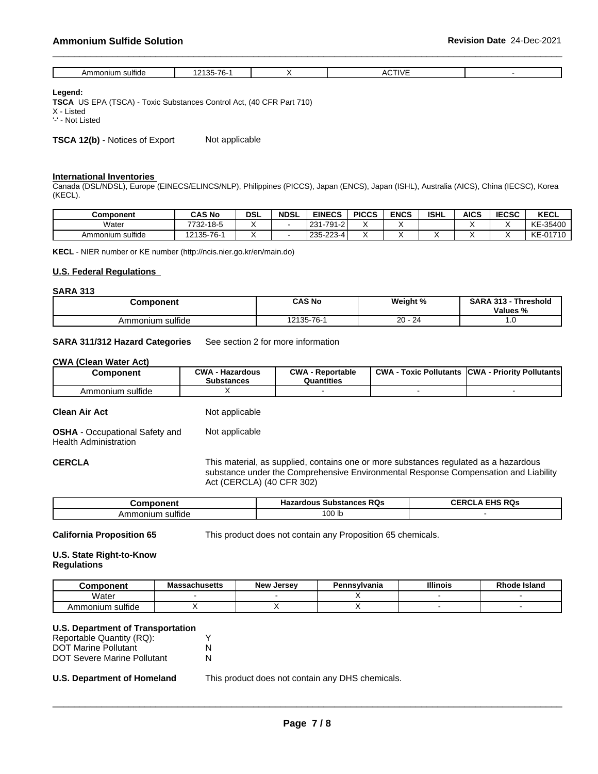| $\cdots$<br>۱mr<br>sultide<br>ionium | $\rightarrow$ $\sim$<br>$\cdot$ $\sim$<br>0E<br>. .<br>. .<br>. | $\sim$ $ \sim$ $\sim$ |  |
|--------------------------------------|-----------------------------------------------------------------|-----------------------|--|

#### **Legend:**

**TSCA** US EPA (TSCA) - Toxic Substances Control Act, (40 CFR Part 710)

X - Listed

'-' - Not Listed

**TSCA 12(b)** - Notices of Export Not applicable

#### **International Inventories**

Canada (DSL/NDSL), Europe (EINECS/ELINCS/NLP), Philippines (PICCS), Japan (ENCS), Japan (ISHL), Australia (AICS), China (IECSC), Korea (KECL).

| <b>Component</b> | <b>CAS No</b>  | <b>DSL</b> | <b>NDSL</b> | <b>EINECS</b>               | <b>PICCS</b> | <b>ENCS</b> | <b>ISHL</b> | AICS | <b>IECSC</b> | <b>KECL</b>        |
|------------------|----------------|------------|-------------|-----------------------------|--------------|-------------|-------------|------|--------------|--------------------|
| Water            | 7732-<br>-18-5 |            |             | -791<br>231<br>1-2<br>.     | ٠.           |             |             |      |              | $-35400$<br>KE     |
| Ammonium sulfide | 12135-76-      |            |             | nnn<br>235<br>'ົາ-∠∠ວ<br>-4 |              |             |             |      |              | KE-017<br>$-01710$ |

**KECL** - NIER number or KE number (http://ncis.nier.go.kr/en/main.do)

#### **U.S. Federal Regulations**

#### **SARA 313**

| <b>Component</b>             | <b>CAS No</b> | Weight %             | <b>SARA 313</b><br><b>Threshold</b><br>Values % |  |
|------------------------------|---------------|----------------------|-------------------------------------------------|--|
| $\cdots$<br>Ammonium sulfide | 12135-76-     | 2 <sup>d</sup><br>20 | ن. ا                                            |  |

#### **SARA 311/312 Hazard Categories** See section 2 for more information

#### **CWA** (Clean Water Act)

| Component             | $\sim$ MA<br>- Hazardous<br><b>Substances</b> | <b>CWA</b><br>· Reportable<br>Quantities | <b>CWA</b><br>: Pollutants<br>Toxic. | . - Priority Pollutants<br><b>ICWA</b> |
|-----------------------|-----------------------------------------------|------------------------------------------|--------------------------------------|----------------------------------------|
| .<br>Ammonium sulfide |                                               |                                          |                                      |                                        |

#### **Clean Air Act** Not applicable

**OSHA** - Occupational Safety and Health Administration Not applicable

**CERCLA** This material, as supplied, contains one or more substances regulated as a hazardous substance under the Comprehensive Environmental Response Compensation and Liability Act (CERCLA) (40 CFR 302)

|                       | RQ.<br><sub>ີ</sub> substances<br>иклон<br>па | <b>FURDO</b><br>-- |
|-----------------------|-----------------------------------------------|--------------------|
| .<br>sulfide<br>oniur | 100 lb                                        |                    |

**California Proposition 65** This product does not contain any Proposition 65 chemicals.

#### **U.S. State Right-to-Know Regulations**

| <b>Omponent</b>                       | <b>Massachusetts</b> | <b>New</b><br>Jersev | Pennsvlvania | <b>Illinois</b> | ode Island |
|---------------------------------------|----------------------|----------------------|--------------|-----------------|------------|
| Water                                 |                      |                      |              |                 |            |
| $\cdots$<br>⊧sulfide<br>nmonium<br>Αr |                      |                      |              |                 |            |

### **U.S. Department of Transportation**

| Reportable Quantity (RQ):   |   |
|-----------------------------|---|
| <b>DOT Marine Pollutant</b> |   |
| DOT Severe Marine Pollutant | N |

**U.S. Department of Homeland** This product does not contain any DHS chemicals.